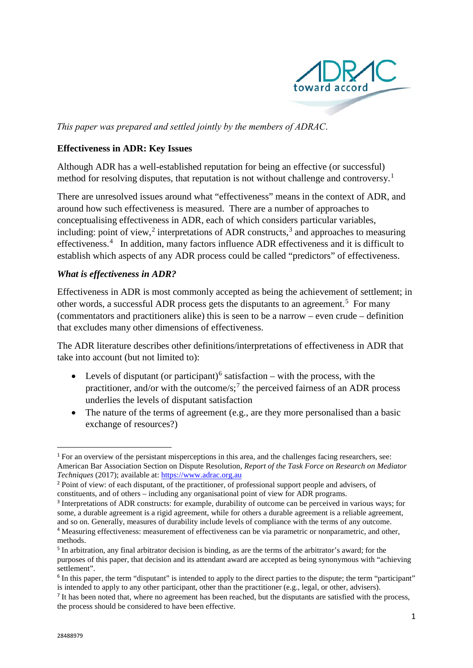

*This paper was prepared and settled jointly by the members of ADRAC*.

#### **Effectiveness in ADR: Key Issues**

Although ADR has a well-established reputation for being an effective (or successful) method for resolving disputes, that reputation is not without challenge and controversy.<sup>[1](#page-0-0)</sup>

There are unresolved issues around what "effectiveness" means in the context of ADR, and around how such effectiveness is measured. There are a number of approaches to conceptualising effectiveness in ADR, each of which considers particular variables, including: point of view,<sup>[2](#page-0-1)</sup> interpretations of ADR constructs,<sup>[3](#page-0-2)</sup> and approaches to measuring effectiveness.<sup>[4](#page-0-3)</sup> In addition, many factors influence ADR effectiveness and it is difficult to establish which aspects of any ADR process could be called "predictors" of effectiveness.

## *What is effectiveness in ADR?*

Effectiveness in ADR is most commonly accepted as being the achievement of settlement; in other words, a successful ADR process gets the disputants to an agreement.<sup>[5](#page-0-4)</sup> For many (commentators and practitioners alike) this is seen to be a narrow – even crude – definition that excludes many other dimensions of effectiveness.

The ADR literature describes other definitions/interpretations of effectiveness in ADR that take into account (but not limited to):

- Levels of disputant (or participant)<sup>[6](#page-0-5)</sup> satisfaction with the process, with the practitioner, and/or with the outcome/s;<sup>[7](#page-0-6)</sup> the perceived fairness of an ADR process underlies the levels of disputant satisfaction
- The nature of the terms of agreement (e.g., are they more personalised than a basic exchange of resources?)

<span id="page-0-0"></span><sup>1</sup> For an overview of the persistant misperceptions in this area, and the challenges facing researchers, see: American Bar Association Section on Dispute Resolution, *Report of the Task Force on Research on Mediator Techniques* (2017); available at: [https://www.adrac.org.au](https://www.adrac.org.au/)

<span id="page-0-1"></span><sup>2</sup> Point of view: of each disputant, of the practitioner, of professional support people and advisers, of constituents, and of others – including any organisational point of view for ADR programs.

<span id="page-0-2"></span><sup>&</sup>lt;sup>3</sup> Interpretations of ADR constructs: for example, durability of outcome can be perceived in various ways; for some, a durable agreement is a rigid agreement, while for others a durable agreement is a reliable agreement, and so on. Generally, measures of durability include levels of compliance with the terms of any outcome.

<span id="page-0-3"></span><sup>4</sup> Measuring effectiveness: measurement of effectiveness can be via parametric or nonparametric, and other, methods.

<span id="page-0-4"></span><sup>&</sup>lt;sup>5</sup> In arbitration, any final arbitrator decision is binding, as are the terms of the arbitrator's award; for the purposes of this paper, that decision and its attendant award are accepted as being synonymous with "achieving settlement".

<span id="page-0-5"></span><sup>&</sup>lt;sup>6</sup> In this paper, the term "disputant" is intended to apply to the direct parties to the dispute; the term "participant" is intended to apply to any other participant, other than the practitioner (e.g., legal, or other, advisers).

<span id="page-0-6"></span><sup>&</sup>lt;sup>7</sup> It has been noted that, where no agreement has been reached, but the disputants are satisfied with the process, the process should be considered to have been effective.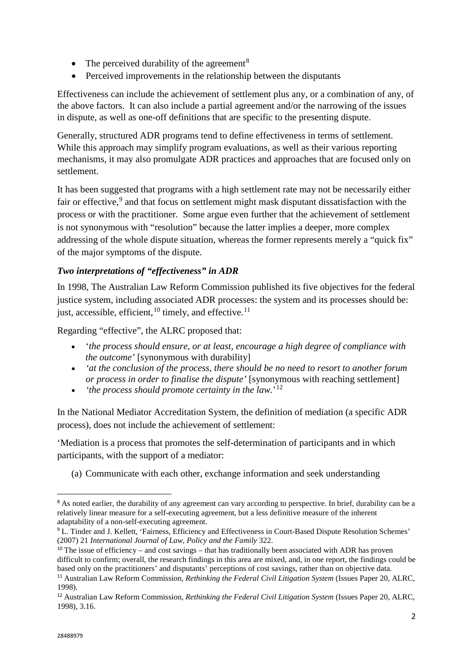- The perceived durability of the agreement<sup>[8](#page-1-0)</sup>
- Perceived improvements in the relationship between the disputants

Effectiveness can include the achievement of settlement plus any, or a combination of any, of the above factors. It can also include a partial agreement and/or the narrowing of the issues in dispute, as well as one-off definitions that are specific to the presenting dispute.

Generally, structured ADR programs tend to define effectiveness in terms of settlement. While this approach may simplify program evaluations, as well as their various reporting mechanisms, it may also promulgate ADR practices and approaches that are focused only on settlement.

It has been suggested that programs with a high settlement rate may not be necessarily either fair or effective,<sup>[9](#page-1-1)</sup> and that focus on settlement might mask disputant dissatisfaction with the process or with the practitioner. Some argue even further that the achievement of settlement is not synonymous with "resolution" because the latter implies a deeper, more complex addressing of the whole dispute situation, whereas the former represents merely a "quick fix" of the major symptoms of the dispute.

# *Two interpretations of "effectiveness" in ADR*

In 1998, The Australian Law Reform Commission published its five objectives for the federal justice system, including associated ADR processes: the system and its processes should be: just, accessible, efficient,  $^{10}$  $^{10}$  $^{10}$  timely, and effective.<sup>[11](#page-1-3)</sup>

Regarding "effective", the ALRC proposed that:

- '*the process should ensure, or at least, encourage a high degree of compliance with the outcome'* [synonymous with durability]
- *'at the conclusion of the process, there should be no need to resort to another forum or process in order to finalise the dispute'* [synonymous with reaching settlement]
- *'the process should promote certainty in the law.*' [12](#page-1-4)

In the National Mediator Accreditation System, the definition of mediation (a specific ADR process), does not include the achievement of settlement:

'Mediation is a process that promotes the self-determination of participants and in which participants, with the support of a mediator:

(a) Communicate with each other, exchange information and seek understanding

<span id="page-1-0"></span><sup>&</sup>lt;sup>8</sup> As noted earlier, the durability of any agreement can vary according to perspective. In brief, durability can be a relatively linear measure for a self-executing agreement, but a less definitive measure of the inherent adaptability of a non-self-executing agreement.

<span id="page-1-1"></span><sup>9</sup> L. Tinder and J. Kellett, 'Fairness, Efficiency and Effectiveness in Court-Based Dispute Resolution Schemes' (2007) 21 *International Journal of Law, Policy and the Family* 322.

<span id="page-1-2"></span><sup>&</sup>lt;sup>10</sup> The issue of efficiency – and cost sayings – that has traditionally been associated with ADR has proven difficult to confirm; overall, the research findings in this area are mixed, and, in one report, the findings could be based only on the practitioners' and disputants' perceptions of cost savings, rather than on objective data. <sup>11</sup> Australian Law Reform Commission, *Rethinking the Federal Civil Litigation System* (Issues Paper 20, ALRC,

<span id="page-1-3"></span><sup>1998).</sup> <sup>12</sup> Australian Law Reform Commission, *Rethinking the Federal Civil Litigation System* (Issues Paper 20, ALRC,

<span id="page-1-4"></span><sup>1998), 3.16.</sup>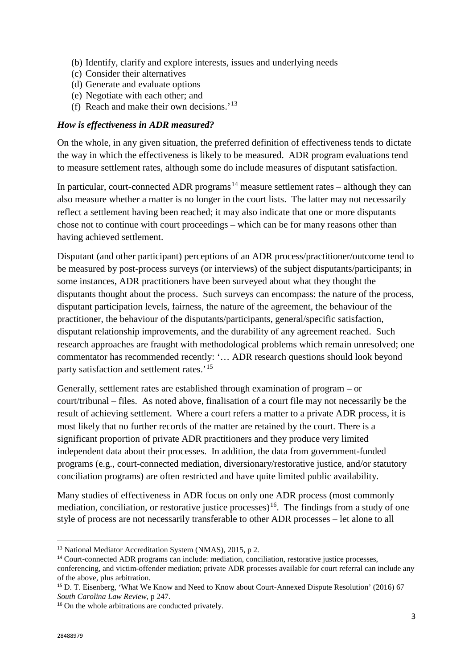- (b) Identify, clarify and explore interests, issues and underlying needs
- (c) Consider their alternatives
- (d) Generate and evaluate options
- (e) Negotiate with each other; and
- (f) Reach and make their own decisions.'[13](#page-2-0)

#### *How is effectiveness in ADR measured?*

On the whole, in any given situation, the preferred definition of effectiveness tends to dictate the way in which the effectiveness is likely to be measured. ADR program evaluations tend to measure settlement rates, although some do include measures of disputant satisfaction.

In particular, court-connected ADR programs<sup>[14](#page-2-1)</sup> measure settlement rates – although they can also measure whether a matter is no longer in the court lists. The latter may not necessarily reflect a settlement having been reached; it may also indicate that one or more disputants chose not to continue with court proceedings – which can be for many reasons other than having achieved settlement.

Disputant (and other participant) perceptions of an ADR process/practitioner/outcome tend to be measured by post-process surveys (or interviews) of the subject disputants/participants; in some instances, ADR practitioners have been surveyed about what they thought the disputants thought about the process. Such surveys can encompass: the nature of the process, disputant participation levels, fairness, the nature of the agreement, the behaviour of the practitioner, the behaviour of the disputants/participants, general/specific satisfaction, disputant relationship improvements, and the durability of any agreement reached. Such research approaches are fraught with methodological problems which remain unresolved; one commentator has recommended recently: '… ADR research questions should look beyond party satisfaction and settlement rates.<sup>[15](#page-2-2)</sup>

Generally, settlement rates are established through examination of program – or court/tribunal – files. As noted above, finalisation of a court file may not necessarily be the result of achieving settlement. Where a court refers a matter to a private ADR process, it is most likely that no further records of the matter are retained by the court. There is a significant proportion of private ADR practitioners and they produce very limited independent data about their processes. In addition, the data from government-funded programs (e.g., court-connected mediation, diversionary/restorative justice, and/or statutory conciliation programs) are often restricted and have quite limited public availability.

Many studies of effectiveness in ADR focus on only one ADR process (most commonly mediation, conciliation, or restorative justice processes)<sup>[16](#page-2-3)</sup>. The findings from a study of one style of process are not necessarily transferable to other ADR processes – let alone to all

<u>.</u>

<span id="page-2-0"></span><sup>&</sup>lt;sup>13</sup> National Mediator Accreditation System (NMAS), 2015, p 2.

<span id="page-2-1"></span><sup>&</sup>lt;sup>14</sup> Court-connected ADR programs can include: mediation, conciliation, restorative justice processes, conferencing, and victim-offender mediation; private ADR processes available for court referral can include any of the above, plus arbitration.

<span id="page-2-2"></span><sup>15</sup> D. T. Eisenberg, 'What We Know and Need to Know about Court-Annexed Dispute Resolution' (2016) 67 *South Carolina Law Review*, p 247.

<span id="page-2-3"></span><sup>&</sup>lt;sup>16</sup> On the whole arbitrations are conducted privately.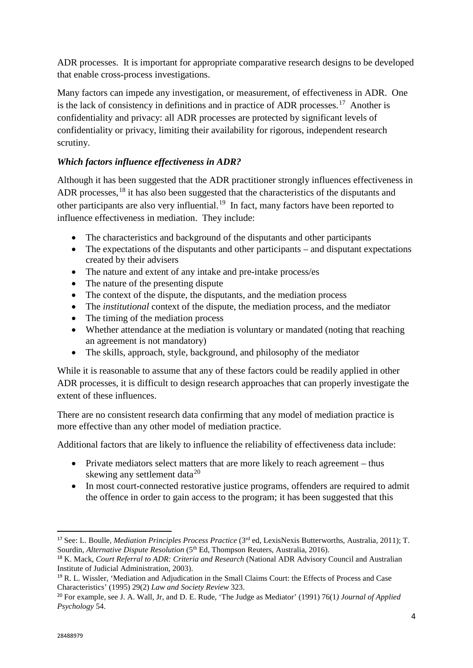ADR processes. It is important for appropriate comparative research designs to be developed that enable cross-process investigations.

Many factors can impede any investigation, or measurement, of effectiveness in ADR. One is the lack of consistency in definitions and in practice of ADR processes.<sup>17</sup> Another is confidentiality and privacy: all ADR processes are protected by significant levels of confidentiality or privacy, limiting their availability for rigorous, independent research scrutiny.

# *Which factors influence effectiveness in ADR?*

Although it has been suggested that the ADR practitioner strongly influences effectiveness in ADR processes,<sup>[18](#page-3-1)</sup> it has also been suggested that the characteristics of the disputants and other participants are also very influential.<sup>19</sup> In fact, many factors have been reported to influence effectiveness in mediation. They include:

- The characteristics and background of the disputants and other participants
- The expectations of the disputants and other participants and disputant expectations created by their advisers
- The nature and extent of any intake and pre-intake process/es
- The nature of the presenting dispute
- The context of the dispute, the disputants, and the mediation process
- The *institutional* context of the dispute, the mediation process, and the mediator
- The timing of the mediation process
- Whether attendance at the mediation is voluntary or mandated (noting that reaching an agreement is not mandatory)
- The skills, approach, style, background, and philosophy of the mediator

While it is reasonable to assume that any of these factors could be readily applied in other ADR processes, it is difficult to design research approaches that can properly investigate the extent of these influences.

There are no consistent research data confirming that any model of mediation practice is more effective than any other model of mediation practice.

Additional factors that are likely to influence the reliability of effectiveness data include:

- Private mediators select matters that are more likely to reach agreement thus skewing any settlement data $^{20}$  $^{20}$  $^{20}$
- In most court-connected restorative justice programs, offenders are required to admit the offence in order to gain access to the program; it has been suggested that this

<span id="page-3-0"></span> <sup>17</sup> See: L. Boulle, *Mediation Principles Process Practice* (3rd ed, LexisNexis Butterworths, Australia, 2011); T. Sourdin, *Alternative Dispute Resolution* (5<sup>th</sup> Ed, Thompson Reuters, Australia, 2016).

<span id="page-3-1"></span><sup>18</sup> K. Mack, *Court Referral to ADR: Criteria and Research* (National ADR Advisory Council and Australian Institute of Judicial Administration, 2003).

<span id="page-3-2"></span><sup>19</sup> R. L. Wissler, 'Mediation and Adjudication in the Small Claims Court: the Effects of Process and Case Characteristics' (1995) 29(2) *Law and Society Review* 323.

<span id="page-3-3"></span><sup>20</sup> For example, see J. A. Wall, Jr, and D. E. Rude, 'The Judge as Mediator' (1991) 76(1*) Journal of Applied Psychology* 54.